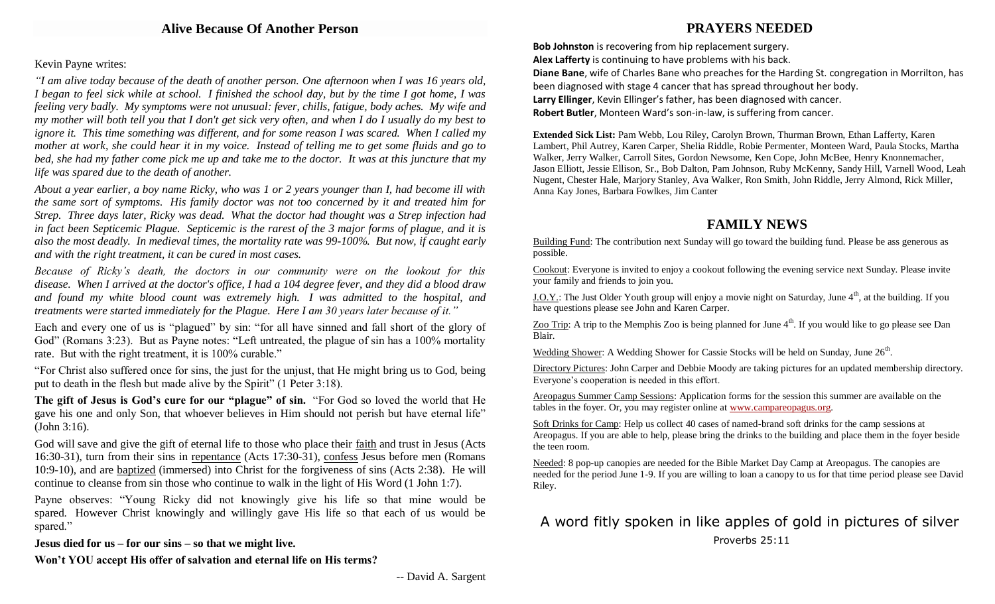## Kevin Payne writes:

*"I am alive today because of the death of another person. One afternoon when I was 16 years old, I began to feel sick while at school. I finished the school day, but by the time I got home, I was feeling very badly. My symptoms were not unusual: fever, chills, fatigue, body aches. My wife and my mother will both tell you that I don't get sick very often, and when I do I usually do my best to ignore it. This time something was different, and for some reason I was scared. When I called my mother at work, she could hear it in my voice. Instead of telling me to get some fluids and go to bed, she had my father come pick me up and take me to the doctor. It was at this juncture that my life was spared due to the death of another.*

*About a year earlier, a boy name Ricky, who was 1 or 2 years younger than I, had become ill with the same sort of symptoms. His family doctor was not too concerned by it and treated him for Strep. Three days later, Ricky was dead. What the doctor had thought was a Strep infection had in fact been Septicemic Plague. Septicemic is the rarest of the 3 major forms of plague, and it is also the most deadly. In medieval times, the mortality rate was 99-100%. But now, if caught early and with the right treatment, it can be cured in most cases.*

*Because of Ricky's death, the doctors in our community were on the lookout for this disease. When I arrived at the doctor's office, I had a 104 degree fever, and they did a blood draw and found my white blood count was extremely high. I was admitted to the hospital, and treatments were started immediately for the Plague. Here I am 30 years later because of it."*

Each and every one of us is "plagued" by sin: "for all have sinned and fall short of the glory of God" (Romans 3:23). But as Payne notes: "Left untreated, the plague of sin has a 100% mortality rate. But with the right treatment, it is 100% curable."

"For Christ also suffered once for sins, the just for the unjust, that He might bring us to God, being put to death in the flesh but made alive by the Spirit" (1 Peter 3:18).

**The gift of Jesus is God's cure for our "plague" of sin.** "For God so loved the world that He gave his one and only Son, that whoever believes in Him should not perish but have eternal life" (John 3:16).

God will save and give the gift of eternal life to those who place their faith and trust in Jesus (Acts 16:30-31), turn from their sins in repentance (Acts 17:30-31), confess Jesus before men (Romans 10:9-10), and are baptized (immersed) into Christ for the forgiveness of sins (Acts 2:38). He will continue to cleanse from sin those who continue to walk in the light of His Word (1 John 1:7).

Payne observes: "Young Ricky did not knowingly give his life so that mine would be spared. However Christ knowingly and willingly gave His life so that each of us would be spared."

**Jesus died for us – for our sins – so that we might live.**

**Won't YOU accept His offer of salvation and eternal life on His terms?**

# **PRAYERS NEEDED**

**Bob Johnston** is recovering from hip replacement surgery. **Alex Lafferty** is continuing to have problems with his back. **Diane Bane**, wife of Charles Bane who preaches for the Harding St. congregation in Morrilton, has been diagnosed with stage 4 cancer that has spread throughout her body. **Larry Ellinger**, Kevin Ellinger's father, has been diagnosed with cancer. **Robert Butler**, Monteen Ward's son-in-law, is suffering from cancer.

**Extended Sick List:** Pam Webb, Lou Riley, Carolyn Brown, Thurman Brown, Ethan Lafferty, Karen Lambert, Phil Autrey, Karen Carper, Shelia Riddle, Robie Permenter, Monteen Ward, Paula Stocks, Martha Walker, Jerry Walker, Carroll Sites, Gordon Newsome, Ken Cope, John McBee, Henry Knonnemacher, Jason Elliott, Jessie Ellison, Sr., Bob Dalton, Pam Johnson, Ruby McKenny, Sandy Hill, Varnell Wood, Leah Nugent, Chester Hale, Marjory Stanley, Ava Walker, Ron Smith, John Riddle, Jerry Almond, Rick Miller, Anna Kay Jones, Barbara Fowlkes, Jim Canter

## **FAMILY NEWS**

Building Fund: The contribution next Sunday will go toward the building fund. Please be ass generous as possible.

Cookout: Everyone is invited to enjoy a cookout following the evening service next Sunday. Please invite your family and friends to join you.

<u>J.O.Y.</u>: The Just Older Youth group will enjoy a movie night on Saturday, June  $4<sup>th</sup>$ , at the building. If you have questions please see John and Karen Carper.

Zoo Trip: A trip to the Memphis Zoo is being planned for June  $4<sup>th</sup>$ . If you would like to go please see Dan Blair.

Wedding Shower: A Wedding Shower for Cassie Stocks will be held on Sunday, June 26<sup>th</sup>.

Directory Pictures: John Carper and Debbie Moody are taking pictures for an updated membership directory. Everyone's cooperation is needed in this effort.

Areopagus Summer Camp Sessions: Application forms for the session this summer are available on the tables in the foyer. Or, you may register online at [www.campareopagus.org.](http://www.campareopagus.org/)

Soft Drinks for Camp: Help us collect 40 cases of named-brand soft drinks for the camp sessions at Areopagus. If you are able to help, please bring the drinks to the building and place them in the foyer beside the teen room.

Needed: 8 pop-up canopies are needed for the Bible Market Day Camp at Areopagus. The canopies are needed for the period June 1-9. If you are willing to loan a canopy to us for that time period please see David Riley.

# A word fitly spoken in like apples of gold in pictures of silver Proverbs 25:11